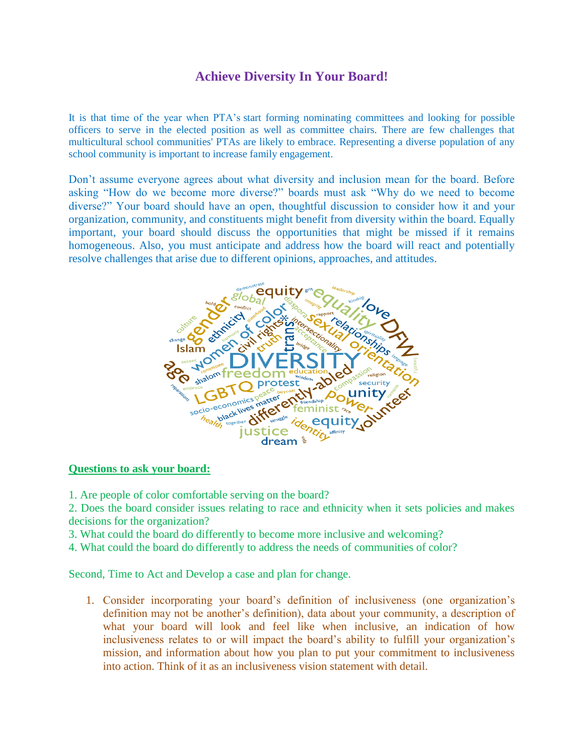## **Achieve Diversity In Your Board!**

It is that time of the year when PTA's start forming nominating committees and looking for possible officers to serve in the elected position as well as committee chairs. There are few challenges that multicultural school communities' PTAs are likely to embrace. Representing a diverse population of any school community is important to increase family engagement.

Don't assume everyone agrees about what diversity and inclusion mean for the board. Before asking "How do we become more diverse?" boards must ask "Why do we need to become diverse?" Your board should have an open, thoughtful discussion to consider how it and your organization, community, and constituents might benefit from diversity within the board. Equally important, your board should discuss the opportunities that might be missed if it remains homogeneous. Also, you must anticipate and address how the board will react and potentially resolve challenges that arise due to different opinions, approaches, and attitudes.



## **Questions to ask your board:**

1. Are people of color comfortable serving on the board?

2. Does the board consider issues relating to race and ethnicity when it sets policies and makes decisions for the organization?

3. What could the board do differently to become more inclusive and welcoming?

4. What could the board do differently to address the needs of communities of color?

Second, Time to Act and Develop a case and plan for change.

1. Consider incorporating your board's definition of inclusiveness (one organization's definition may not be another's definition), data about your community, a description of what your board will look and feel like when inclusive, an indication of how inclusiveness relates to or will impact the board's ability to fulfill your organization's mission, and information about how you plan to put your commitment to inclusiveness into action. Think of it as an inclusiveness vision statement with detail.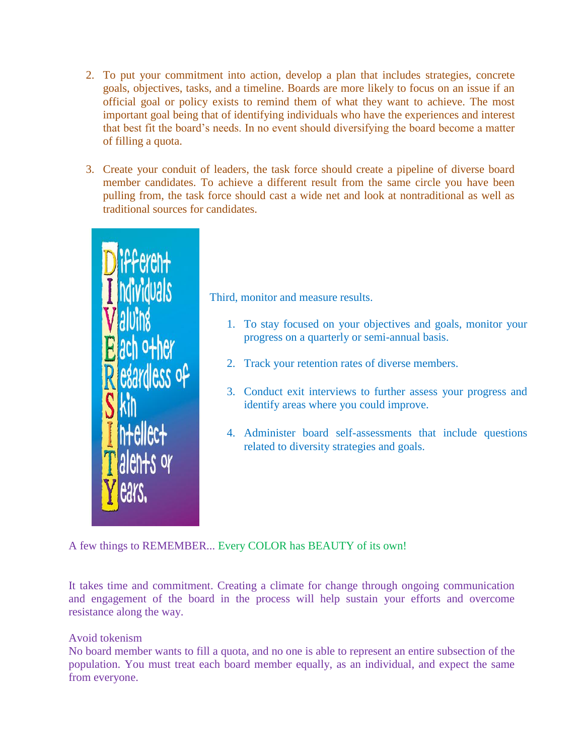- 2. To put your commitment into action, develop a plan that includes strategies, concrete goals, objectives, tasks, and a timeline. Boards are more likely to focus on an issue if an official goal or policy exists to remind them of what they want to achieve. The most important goal being that of identifying individuals who have the experiences and interest that best fit the board's needs. In no event should diversifying the board become a matter of filling a quota.
- 3. Create your conduit of leaders, the task force should create a pipeline of diverse board member candidates. To achieve a different result from the same circle you have been pulling from, the task force should cast a wide net and look at nontraditional as well as traditional sources for candidates.



Third, monitor and measure results.

- 1. To stay focused on your objectives and goals, monitor your progress on a quarterly or semi-annual basis.
- 2. Track your retention rates of diverse members.
- 3. Conduct exit interviews to further assess your progress and identify areas where you could improve.
- 4. Administer board self-assessments that include questions related to diversity strategies and goals.

A few things to REMEMBER... Every COLOR has BEAUTY of its own!

It takes time and commitment. Creating a climate for change through ongoing communication and engagement of the board in the process will help sustain your efforts and overcome resistance along the way.

## Avoid tokenism

No board member wants to fill a quota, and no one is able to represent an entire subsection of the population. You must treat each board member equally, as an individual, and expect the same from everyone.